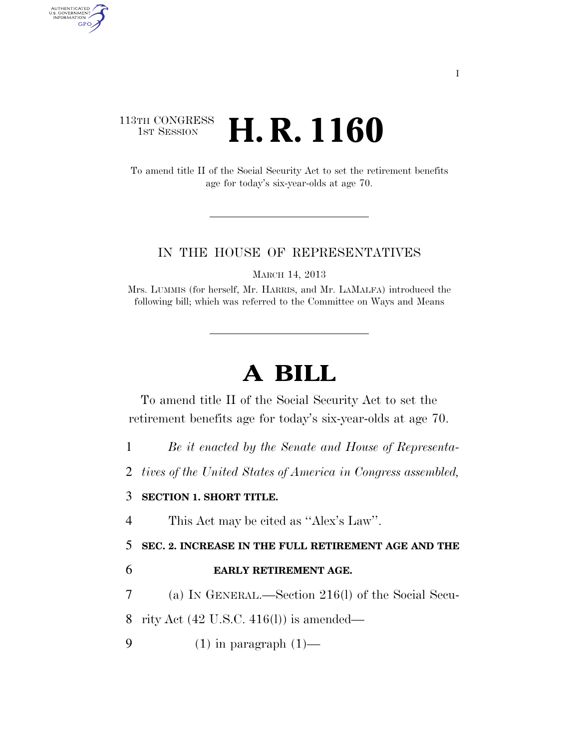## 113TH CONGRESS **1st Session H. R. 1160**

AUTHENTICATED<br>U.S. GOVERNMENT<br>INFORMATION **GPO** 

> To amend title II of the Social Security Act to set the retirement benefits age for today's six-year-olds at age 70.

## IN THE HOUSE OF REPRESENTATIVES

MARCH 14, 2013

Mrs. LUMMIS (for herself, Mr. HARRIS, and Mr. LAMALFA) introduced the following bill; which was referred to the Committee on Ways and Means

## **A BILL**

To amend title II of the Social Security Act to set the retirement benefits age for today's six-year-olds at age 70.

1 *Be it enacted by the Senate and House of Representa-*

2 *tives of the United States of America in Congress assembled,* 

## 3 **SECTION 1. SHORT TITLE.**

4 This Act may be cited as ''Alex's Law''.

5 **SEC. 2. INCREASE IN THE FULL RETIREMENT AGE AND THE** 

6 **EARLY RETIREMENT AGE.** 

7 (a) IN GENERAL.—Section 216(l) of the Social Secu-

8 rity Act (42 U.S.C. 416(l)) is amended—

9  $(1)$  in paragraph  $(1)$ —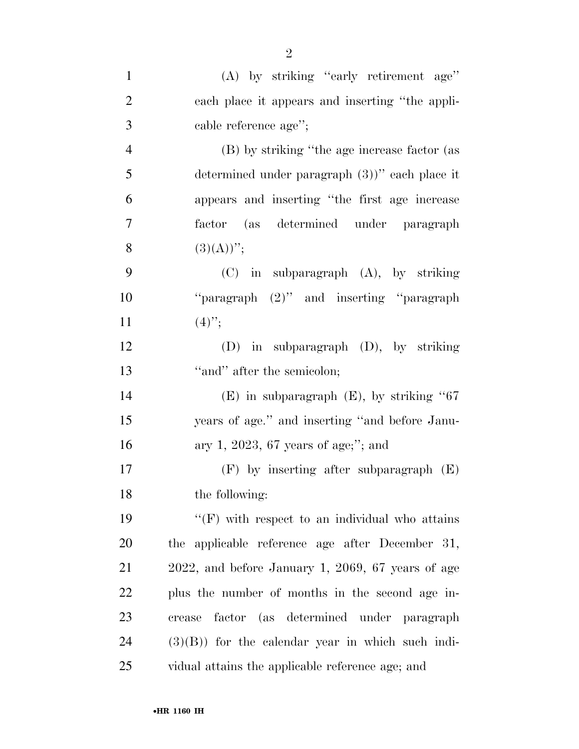| $\mathbf{1}$   | (A) by striking "early retirement age"                |
|----------------|-------------------------------------------------------|
| $\overline{2}$ | each place it appears and inserting "the appli-       |
| 3              | cable reference age";                                 |
| $\overline{4}$ | (B) by striking "the age increase factor (as          |
| 5              | determined under paragraph $(3)$ " each place it      |
| 6              | appears and inserting "the first age increase         |
| 7              | factor (as determined under paragraph                 |
| 8              | $(3)(A))''$ ;                                         |
| 9              | $(C)$ in subparagraph $(A)$ , by striking             |
| 10             | "paragraph (2)" and inserting "paragraph              |
| 11             | $(4)$ ";                                              |
| 12             | $(D)$ in subparagraph $(D)$ , by striking             |
| 13             | "and" after the semicolon;                            |
| 14             | $(E)$ in subparagraph $(E)$ , by striking "67         |
| 15             | years of age." and inserting "and before Janu-        |
| 16             | ary 1, 2023, 67 years of age;"; and                   |
| 17             | $(F)$ by inserting after subparagraph $(E)$           |
| 18             | the following:                                        |
| 19             | $\lq\lq(F)$ with respect to an individual who attains |
| 20             | the applicable reference age after December 31,       |
| 21             | $2022$ , and before January 1, 2069, 67 years of age  |
| 22             | plus the number of months in the second age in-       |
| 23             | factor (as determined under paragraph<br>crease       |
| 24             | $(3)(B)$ for the calendar year in which such indi-    |
| 25             | vidual attains the applicable reference age; and      |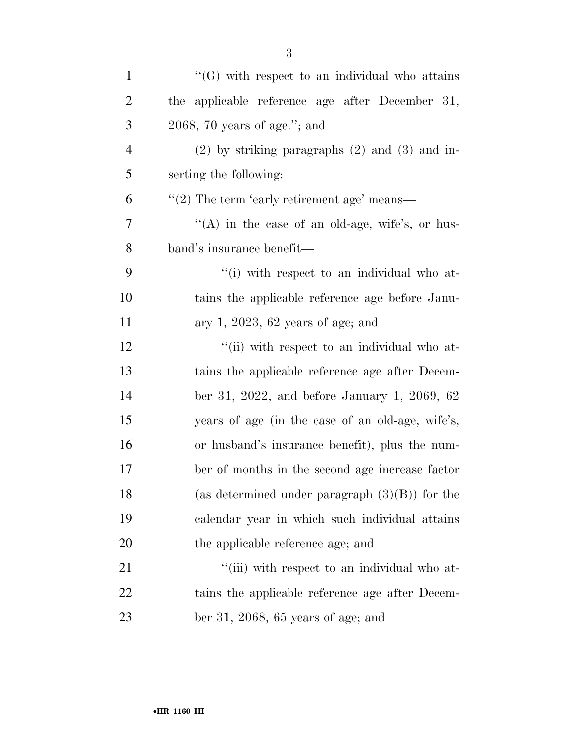| $\mathbf{1}$   | $\lq\lq(G)$ with respect to an individual who attains       |
|----------------|-------------------------------------------------------------|
| $\overline{2}$ | the applicable reference age after December 31,             |
| 3              | $2068$ , 70 years of age."; and                             |
| $\overline{4}$ | $(2)$ by striking paragraphs $(2)$ and $(3)$ and in-        |
| 5              | serting the following:                                      |
| 6              | $\cdot\cdot\cdot(2)$ The term 'early retirement age' means— |
| 7              | " $(A)$ in the case of an old-age, wife's, or hus-          |
| 8              | band's insurance benefit—                                   |
| 9              | "(i) with respect to an individual who at-                  |
| 10             | tains the applicable reference age before Janu-             |
| 11             | ary 1, 2023, 62 years of age; and                           |
| 12             | "(ii) with respect to an individual who at-                 |
| 13             | tains the applicable reference age after Decem-             |
| 14             | ber 31, 2022, and before January 1, 2069, 62                |
| 15             | years of age (in the case of an old-age, wife's,            |
| 16             | or husband's insurance benefit), plus the num-              |
| 17             | ber of months in the second age increase factor             |
| 18             | (as determined under paragraph $(3)(B)$ ) for the           |
| 19             | calendar year in which such individual attains              |
| <b>20</b>      | the applicable reference age; and                           |
| 21             | "(iii) with respect to an individual who at-                |
| 22             | tains the applicable reference age after Decem-             |
| 23             | ber 31, 2068, 65 years of age; and                          |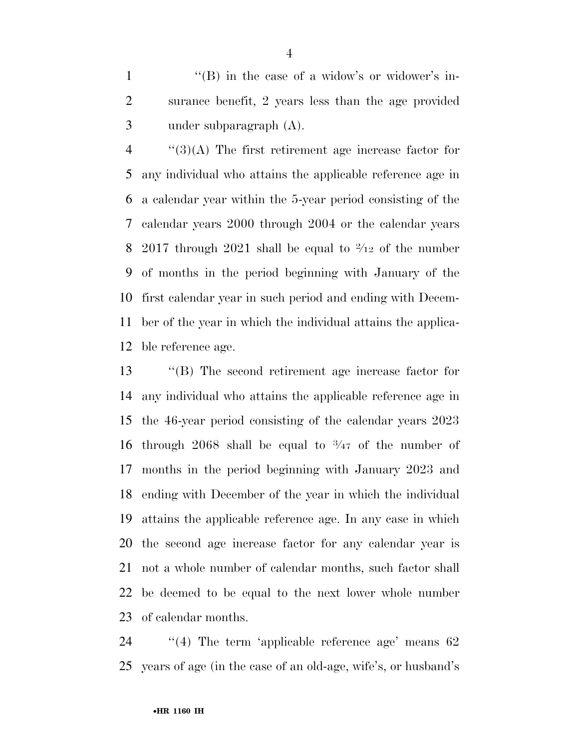1 ''(B) in the case of a widow's or widower's in- surance benefit, 2 years less than the age provided under subparagraph (A).

 $\frac{4}{(3)}$  (4) The first retirement age increase factor for any individual who attains the applicable reference age in a calendar year within the 5-year period consisting of the calendar years 2000 through 2004 or the calendar years 8 2017 through 2021 shall be equal to  $\frac{2}{12}$  of the number of months in the period beginning with January of the first calendar year in such period and ending with Decem- ber of the year in which the individual attains the applica-ble reference age.

 ''(B) The second retirement age increase factor for any individual who attains the applicable reference age in the 46-year period consisting of the calendar years 2023 16 through 2068 shall be equal to  $\frac{3}{47}$  of the number of months in the period beginning with January 2023 and ending with December of the year in which the individual attains the applicable reference age. In any case in which the second age increase factor for any calendar year is not a whole number of calendar months, such factor shall be deemed to be equal to the next lower whole number of calendar months.

24 "(4) The term 'applicable reference age' means 62 years of age (in the case of an old-age, wife's, or husband's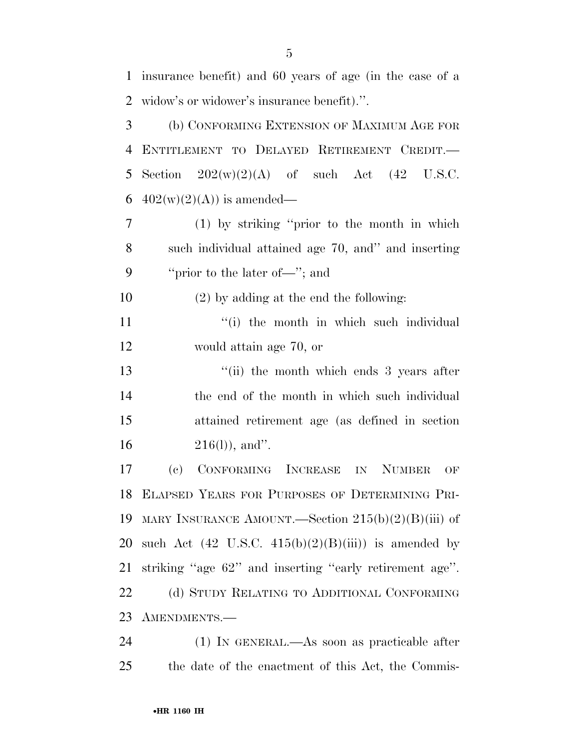| insurance benefit) and 60 years of age (in the case of a       |
|----------------------------------------------------------------|
| widow's or widower's insurance benefit).".                     |
| (b) CONFORMING EXTENSION OF MAXIMUM AGE FOR                    |
| ENTITLEMENT TO DELAYED RETIREMENT CREDIT.                      |
| Section $202(w)(2)(A)$ of such Act $(42 \text{ U.S.C.})$       |
| $402(w)(2)(A)$ is amended—                                     |
| $(1)$ by striking "prior to the month in which                 |
| such individual attained age 70, and" and inserting            |
| "prior to the later of—"; and                                  |
| $(2)$ by adding at the end the following:                      |
| "(i) the month in which such individual                        |
| would attain age 70, or                                        |
| "(ii) the month which ends $3$ years after                     |
| the end of the month in which such individual                  |
| attained retirement age (as defined in section                 |
| $216(l)$ , and".                                               |
| CONFORMING INCREASE IN NUMBER<br>(e)<br>OF                     |
| 18 ELAPSED YEARS FOR PURPOSES OF DETERMINING PRI-              |
| MARY INSURANCE AMOUNT.—Section $215(b)(2)(B)(iii)$ of          |
|                                                                |
| such Act $(42 \text{ U.S.C. } 415(b)(2)(B(iii))$ is amended by |
| striking "age 62" and inserting "early retirement age".        |
| (d) STUDY RELATING TO ADDITIONAL CONFORMING                    |
| AMENDMENTS.-                                                   |
|                                                                |

the date of the enactment of this Act, the Commis-